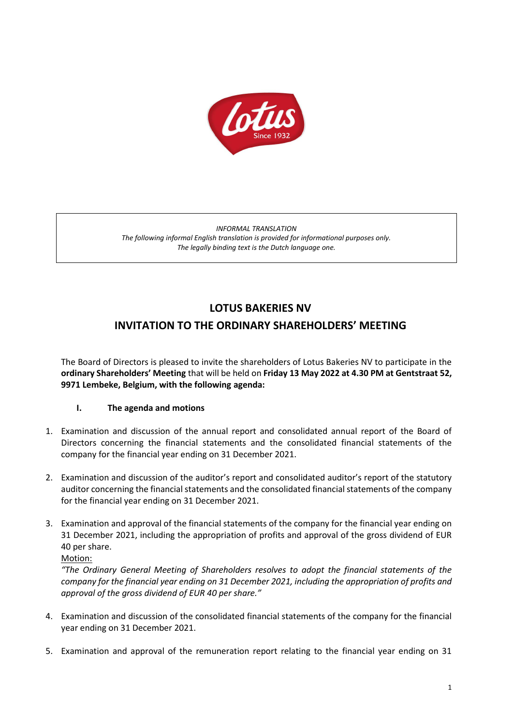

*INFORMAL TRANSLATION The following informal English translation is provided for informational purposes only. The legally binding text is the Dutch language one.*

# **LOTUS BAKERIES NV**

# **INVITATION TO THE ORDINARY SHAREHOLDERS' MEETING**

The Board of Directors is pleased to invite the shareholders of Lotus Bakeries NV to participate in the **ordinary Shareholders' Meeting** that will be held on **Friday 13 May 2022 at 4.30 PM at Gentstraat 52, 9971 Lembeke, Belgium, with the following agenda:**

## **I. The agenda and motions**

- 1. Examination and discussion of the annual report and consolidated annual report of the Board of Directors concerning the financial statements and the consolidated financial statements of the company for the financial year ending on 31 December 2021.
- 2. Examination and discussion of the auditor's report and consolidated auditor's report of the statutory auditor concerning the financial statements and the consolidated financial statements of the company for the financial year ending on 31 December 2021.
- 3. Examination and approval of the financial statements of the company for the financial year ending on 31 December 2021, including the appropriation of profits and approval of the gross dividend of EUR 40 per share.

Motion:

*"The Ordinary General Meeting of Shareholders resolves to adopt the financial statements of the company for the financial year ending on 31 December 2021, including the appropriation of profits and approval of the gross dividend of EUR 40 per share."*

- 4. Examination and discussion of the consolidated financial statements of the company for the financial year ending on 31 December 2021.
- 5. Examination and approval of the remuneration report relating to the financial year ending on 31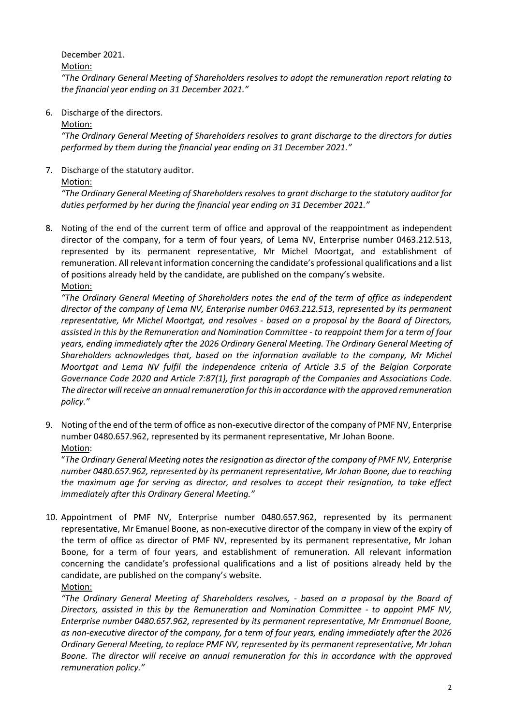December 2021.

Motion:

*"The Ordinary General Meeting of Shareholders resolves to adopt the remuneration report relating to the financial year ending on 31 December 2021."*

6. Discharge of the directors.

Motion:

*"The Ordinary General Meeting of Shareholders resolves to grant discharge to the directors for duties performed by them during the financial year ending on 31 December 2021."*

7. Discharge of the statutory auditor.

Motion:

*"The Ordinary General Meeting of Shareholders resolves to grant discharge to the statutory auditor for duties performed by her during the financial year ending on 31 December 2021."*

8. Noting of the end of the current term of office and approval of the reappointment as independent director of the company, for a term of four years, of Lema NV, Enterprise number 0463.212.513, represented by its permanent representative, Mr Michel Moortgat, and establishment of remuneration. All relevant information concerning the candidate's professional qualifications and a list of positions already held by the candidate, are published on the company's website. Motion:

*"The Ordinary General Meeting of Shareholders notes the end of the term of office as independent director of the company of Lema NV, Enterprise number 0463.212.513, represented by its permanent representative, Mr Michel Moortgat, and resolves - based on a proposal by the Board of Directors, assisted in this by the Remuneration and Nomination Committee - to reappoint them for a term of four years, ending immediately after the 2026 Ordinary General Meeting. The Ordinary General Meeting of Shareholders acknowledges that, based on the information available to the company, Mr Michel Moortgat and Lema NV fulfil the independence criteria of Article 3.5 of the Belgian Corporate Governance Code 2020 and Article 7:87(1), first paragraph of the Companies and Associations Code. The director will receive an annual remuneration for this in accordance with the approved remuneration policy."*

9. Noting of the end of the term of office as non-executive director of the company of PMF NV, Enterprise number 0480.657.962, represented by its permanent representative, Mr Johan Boone. Motion:

"*The Ordinary General Meeting notes the resignation as director of the company of PMF NV, Enterprise number 0480.657.962, represented by its permanent representative, Mr Johan Boone, due to reaching the maximum age for serving as director, and resolves to accept their resignation, to take effect immediately after this Ordinary General Meeting."*

10. Appointment of PMF NV, Enterprise number 0480.657.962, represented by its permanent representative, Mr Emanuel Boone, as non-executive director of the company in view of the expiry of the term of office as director of PMF NV, represented by its permanent representative, Mr Johan Boone, for a term of four years, and establishment of remuneration. All relevant information concerning the candidate's professional qualifications and a list of positions already held by the candidate, are published on the company's website. Motion:

*"The Ordinary General Meeting of Shareholders resolves, - based on a proposal by the Board of Directors, assisted in this by the Remuneration and Nomination Committee - to appoint PMF NV, Enterprise number 0480.657.962, represented by its permanent representative, Mr Emmanuel Boone, as non-executive director of the company, for a term of four years, ending immediately after the 2026 Ordinary General Meeting, to replace PMF NV, represented by its permanent representative, Mr Johan Boone. The director will receive an annual remuneration for this in accordance with the approved remuneration policy."*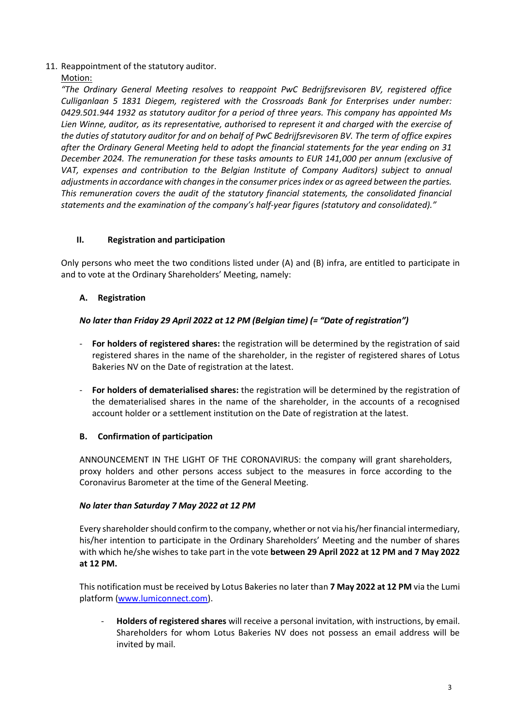#### 11. Reappointment of the statutory auditor.

#### Motion:

*"The Ordinary General Meeting resolves to reappoint PwC Bedrijfsrevisoren BV, registered office Culliganlaan 5 1831 Diegem, registered with the Crossroads Bank for Enterprises under number: 0429.501.944 1932 as statutory auditor for a period of three years. This company has appointed Ms Lien Winne, auditor, as its representative, authorised to represent it and charged with the exercise of the duties of statutory auditor for and on behalf of PwC Bedrijfsrevisoren BV. The term of office expires after the Ordinary General Meeting held to adopt the financial statements for the year ending on 31 December 2024. The remuneration for these tasks amounts to EUR 141,000 per annum (exclusive of VAT, expenses and contribution to the Belgian Institute of Company Auditors) subject to annual adjustments in accordance with changes in the consumer prices index or as agreed between the parties. This remuneration covers the audit of the statutory financial statements, the consolidated financial statements and the examination of the company's half-year figures (statutory and consolidated)."*

## **II. Registration and participation**

Only persons who meet the two conditions listed under (A) and (B) infra, are entitled to participate in and to vote at the Ordinary Shareholders' Meeting, namely:

## **A. Registration**

## *No later than Friday 29 April 2022 at 12 PM (Belgian time) (= "Date of registration")*

- **For holders of registered shares:** the registration will be determined by the registration of said registered shares in the name of the shareholder, in the register of registered shares of Lotus Bakeries NV on the Date of registration at the latest.
- **For holders of dematerialised shares:** the registration will be determined by the registration of the dematerialised shares in the name of the shareholder, in the accounts of a recognised account holder or a settlement institution on the Date of registration at the latest.

#### **B. Confirmation of participation**

ANNOUNCEMENT IN THE LIGHT OF THE CORONAVIRUS: the company will grant shareholders, proxy holders and other persons access subject to the measures in force according to the Coronavirus Barometer at the time of the General Meeting.

#### *No later than Saturday 7 May 2022 at 12 PM*

Every shareholder should confirm to the company, whether or not via his/her financial intermediary, his/her intention to participate in the Ordinary Shareholders' Meeting and the number of shares with which he/she wishes to take part in the vote **between 29 April 2022 at 12 PM and 7 May 2022 at 12 PM.**

This notification must be received by Lotus Bakeries no later than **7 May 2022 at 12 PM** via the Lumi platform [\(www.lumiconnect.com\)](http://www.lumiconnect.com/).

- **Holders of registered shares** will receive a personal invitation, with instructions, by email. Shareholders for whom Lotus Bakeries NV does not possess an email address will be invited by mail.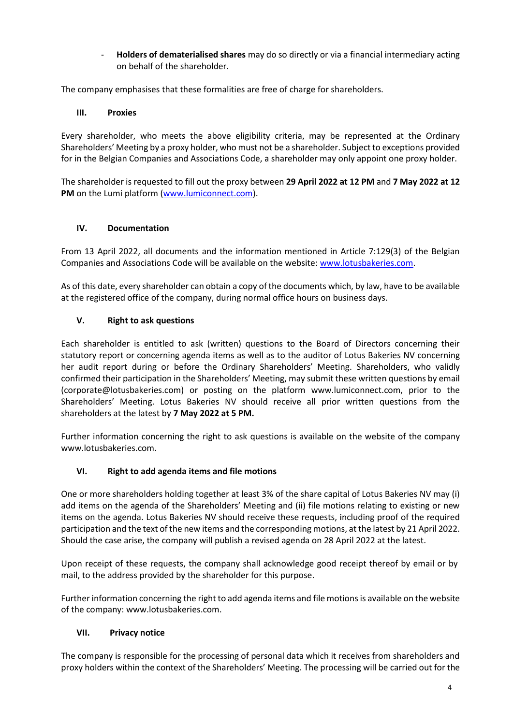- **Holders of dematerialised shares** may do so directly or via a financial intermediary acting on behalf of the shareholder.

The company emphasises that these formalities are free of charge for shareholders.

#### **III. Proxies**

Every shareholder, who meets the above eligibility criteria, may be represented at the Ordinary Shareholders' Meeting by a proxy holder, who must not be a shareholder. Subject to exceptions provided for in the Belgian Companies and Associations Code, a shareholder may only appoint one proxy holder.

The shareholder is requested to fill out the proxy between **29 April 2022 at 12 PM** and **7 May 2022 at 12 PM** on the Lumi platform [\(www.lumiconnect.com\)](http://www.lumiconnect.com/).

## **IV. Documentation**

From 13 April 2022, all documents and the information mentioned in Article 7:129(3) of the Belgian Companies and Associations Code will be available on the website: [www.lotusbakeries.com.](http://www.lotusbakeries.com/)

As of this date, every shareholder can obtain a copy of the documents which, by law, have to be available at the registered office of the company, during normal office hours on business days.

## **V. Right to ask questions**

Each shareholder is entitled to ask (written) questions to the Board of Directors concerning their statutory report or concerning agenda items as well as to the auditor of Lotus Bakeries NV concerning her audit report during or before the Ordinary Shareholders' Meeting. Shareholders, who validly confirmed their participation in the Shareholders' Meeting, may submit these written questions by email (corporate@lotusbakeries.com) or posting on the platform www.lumiconnect.com, prior to the Shareholders' Meeting. Lotus Bakeries NV should receive all prior written questions from the shareholders at the latest by **7 May 2022 at 5 PM.**

Further information concerning the right to ask questions is available on the website of the company [www.lotusbakeries.com.](http://www.lotusbakeries.com/)

## **VI. Right to add agenda items and file motions**

One or more shareholders holding together at least 3% of the share capital of Lotus Bakeries NV may (i) add items on the agenda of the Shareholders' Meeting and (ii) file motions relating to existing or new items on the agenda. Lotus Bakeries NV should receive these requests, including proof of the required participation and the text of the new items and the corresponding motions, at the latest by 21 April 2022. Should the case arise, the company will publish a revised agenda on 28 April 2022 at the latest.

Upon receipt of these requests, the company shall acknowledge good receipt thereof by email or by mail, to the address provided by the shareholder for this purpose.

Further information concerning the right to add agenda items and file motions is available on the website of the company[: www.lotusbakeries.com.](http://www.lotusbakeries.com/)

#### **VII. Privacy notice**

The company is responsible for the processing of personal data which it receives from shareholders and proxy holders within the context of the Shareholders' Meeting. The processing will be carried out for the